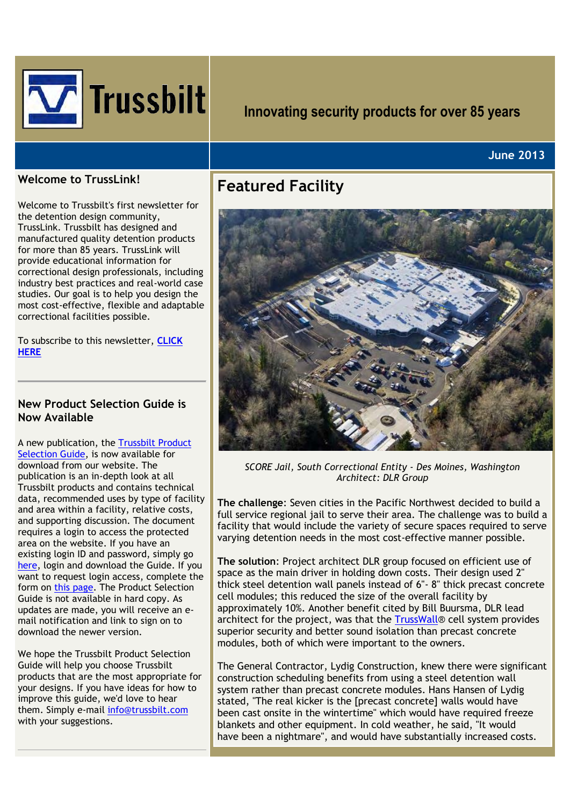

# **Innovating security products for over 85 years**

#### **June 2013**

#### **Welcome to TrussLink!**

Welcome to Trussbilt's first newsletter for the detention design community, TrussLink. Trussbilt has designed and manufactured quality detention products for more than 85 years. TrussLink will provide educational information for correctional design professionals, including industry best practices and real-world case studies. Our goal is to help you design the most cost-effective, flexible and adaptable correctional facilities possible.

To subscribe to this newsletter, **[CLICK](http://www.trussbilt.com/register.php)  [HERE](http://www.trussbilt.com/register.php)**

#### **New Product Selection Guide is Now Available**

A new publication, the [Trussbilt Product](http://www.trussbilt.com/p_resources.php)  [Selection Guide,](http://www.trussbilt.com/p_resources.php) is now available for download from our website. The publication is an in-depth look at all Trussbilt products and contains technical data, recommended uses by type of facility and area within a facility, relative costs, and supporting discussion. The document requires a login to access the protected area on the website. If you have an existing login ID and password, simply go [here,](http://www.trussbilt.com/p_resources.php) login and download the Guide. If you want to request login access, complete the form on [this page.](http://www.trussbilt.com/signup.php) The Product Selection Guide is not available in hard copy. As updates are made, you will receive an email notification and link to sign on to download the newer version.

We hope the Trussbilt Product Selection Guide will help you choose Trussbilt products that are the most appropriate for your designs. If you have ideas for how to improve this guide, we'd love to hear them. Simply e-mail [info@trussbilt.com](mailto:info@trussbilt.com) with your suggestions.

## **Featured Facility**



*SCORE Jail, South Correctional Entity - Des Moines, Washington Architect: DLR Group*

**The challenge**: Seven cities in the Pacific Northwest decided to build a full service regional jail to serve their area. The challenge was to build a facility that would include the variety of secure spaces required to serve varying detention needs in the most cost-effective manner possible.

**The solution**: Project architect DLR group focused on efficient use of space as the main driver in holding down costs. Their design used 2" thick steel detention wall panels instead of 6"- 8" thick precast concrete cell modules; this reduced the size of the overall facility by approximately 10%. Another benefit cited by Bill Buursma, DLR lead architect for the project, was that the [TrussWall®](http://www.trussbilt.com/trusswall.php) cell system provides superior security and better sound isolation than precast concrete modules, both of which were important to the owners.

The General Contractor, Lydig Construction, knew there were significant construction scheduling benefits from using a steel detention wall system rather than precast concrete modules. Hans Hansen of Lydig stated, "The real kicker is the [precast concrete] walls would have been cast onsite in the wintertime" which would have required freeze blankets and other equipment. In cold weather, he said, "It would have been a nightmare", and would have substantially increased costs.